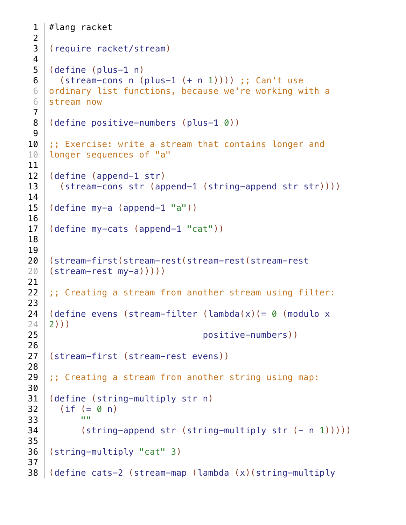```
#lang racket
    (require racket/stream)
    (define (plus-1 n)
      (\text{stream-cons } n \text{ (plus-1 (+ n 1))})) ;; Can't use
    ordinary list functions, because we're working with a
    stream now
    (define positive-numbers (plus-1 0))
    ;; Exercise: write a stream that contains longer and
    longer sequences of "a"
    (define (append-1 str)
       (stream-cons str (append-1 (string-append str str))))
    (define my-a (append-1 "a"))
    (define my-cats (append-1 "cat"))
    (stream-first(stream-rest(stream-rest(stream-rest
    (stream-rest my-a)))))
    ;; Creating a stream from another stream using filter:
    (define evens (stream-filter (lambda(x)(= \theta (modulo x
    2)))
                                    positive-numbers))
    (stream-first (stream-rest evens))
    ;; Creating a stream from another string using map:
    (define (string-multiply str n)
      (if (= 0 n) ""
          (\text{string-append str } (\text{string-multiply str } (- n 1))))(string-multiply "cat" 3)
    (define cats-2 (stream-map (lambda (x)(string-multiply
 1
 2
 3
 4
 5
 6
 6
 6
 7
 8
 9
10
10
11
12
13
14
15
16
17
18
19
20
20
21
22
23
24
24
25
26
27
28
29
30
31
32
33
34
35
36
37
38
```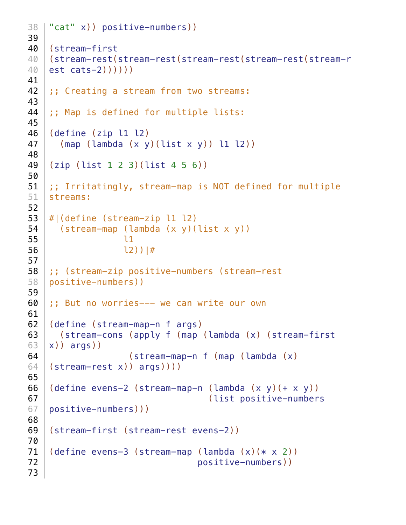```
"cat" x)) positive-numbers))
    (stream-first
    (stream-rest(stream-rest(stream-rest(stream-rest(stream-r
    est cats-2))))))
    ;; Creating a stream from two streams:
    ;; Map is defined for multiple lists:
    (define (zip l1 l2)
      (\text{map} (\text{lambda} (x y)(\text{list } x y)) \text{ 11 } \text{12}))(zip (list 1 2 3)(list 4 5 6))
    ;; Irritatingly, stream-map is NOT defined for multiple
    streams:
    #|(define (stream-zip l1 l2)
       (stream-map (lambda (x y)(list x y))
                    l1
                    l2))|#
    ;; (stream-zip positive-numbers (stream-rest 
    positive-numbers))
    ;; But no worries--- we can write our own
    (define (stream-map-n f args)
       (stream-cons (apply f (map (lambda (x) (stream-first
    x)) args))
                     (stream-map-n f (map (lambda (x) 
    (stream-rest x)) args))))
    (define evens-2 (stream-map-n (lambda (x, y)) + (x, y))
                                      (list positive-numbers
    positive-numbers)))
    (stream-first (stream-rest evens-2))
    (define evens-3 (stream-map (lambda (x)(* x 2))
                                    positive-numbers))
38
39
40
40
40
41
42
43
44
45
46
47
48
49
50
51
51
52
53
54
55
56
57
58
58
59
60
61
62
63
63
64
64
65
66
67
67
68
69
70
71
72
73
```